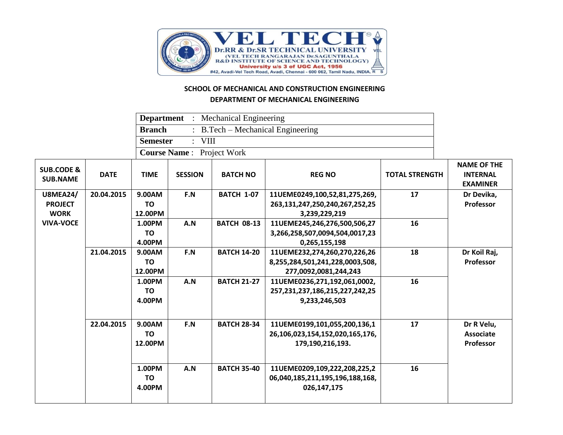

## **SCHOOL OF MECHANICAL AND CONSTRUCTION ENGINEERING DEPARTMENT OF MECHANICAL ENGINEERING**

|                                          |             | <b>Department</b> : Mechanical Engineering |                |                    |                                 |                       |                                                          |
|------------------------------------------|-------------|--------------------------------------------|----------------|--------------------|---------------------------------|-----------------------|----------------------------------------------------------|
|                                          |             | <b>Branch</b>                              |                |                    |                                 |                       |                                                          |
|                                          |             | <b>Semester</b>                            |                |                    |                                 |                       |                                                          |
|                                          |             | <b>Course Name:</b>                        |                |                    |                                 |                       |                                                          |
| <b>SUB.CODE &amp;</b><br><b>SUB.NAME</b> | <b>DATE</b> | <b>TIME</b>                                | <b>SESSION</b> | <b>BATCH NO</b>    | <b>REG NO</b>                   | <b>TOTAL STRENGTH</b> | <b>NAME OF THE</b><br><b>INTERNAL</b><br><b>EXAMINER</b> |
| <b>U8MEA24/</b>                          | 20.04.2015  | 9.00AM                                     | F.N            | <b>BATCH 1-07</b>  | 11UEME0249,100,52,81,275,269,   | 17                    | Dr Devika,                                               |
| <b>PROJECT</b>                           |             | <b>TO</b>                                  |                |                    | 263,131,247,250,240,267,252,25  |                       | Professor                                                |
| <b>WORK</b>                              |             | 12.00PM                                    |                |                    | 3,239,229,219                   |                       |                                                          |
| <b>VIVA-VOCE</b>                         |             | 1.00PM                                     | A.N            | <b>BATCH 08-13</b> | 11UEME245,246,276,500,506,27    | 16                    |                                                          |
|                                          |             | <b>TO</b>                                  |                |                    | 3,266,258,507,0094,504,0017,23  |                       |                                                          |
|                                          |             | 4.00PM                                     |                |                    | 0,265,155,198                   |                       |                                                          |
|                                          | 21.04.2015  | 9.00AM                                     | F.N            | <b>BATCH 14-20</b> | 11UEME232,274,260,270,226,26    | 18                    | Dr Koil Raj,                                             |
|                                          |             | <b>TO</b>                                  |                |                    | 8,255,284,501,241,228,0003,508, |                       | Professor                                                |
|                                          |             | 12.00PM                                    |                |                    | 277,0092,0081,244,243           |                       |                                                          |
|                                          |             | 1.00PM                                     | A.N            | <b>BATCH 21-27</b> | 11UEME0236,271,192,061,0002,    | 16                    |                                                          |
|                                          |             | <b>TO</b>                                  |                |                    | 257,231,237,186,215,227,242,25  |                       |                                                          |
|                                          |             | 4.00PM                                     |                |                    | 9,233,246,503                   |                       |                                                          |
|                                          | 22.04.2015  | 9.00AM                                     | F.N            | <b>BATCH 28-34</b> | 11UEME0199,101,055,200,136,1    | 17                    | Dr R Velu,                                               |
|                                          |             | <b>TO</b>                                  |                |                    | 26,106,023,154,152,020,165,176, |                       | <b>Associate</b>                                         |
|                                          |             | 12.00PM                                    |                |                    | 179,190,216,193.                |                       | Professor                                                |
|                                          |             |                                            |                |                    |                                 |                       |                                                          |
|                                          |             | 1.00PM                                     | A.N            | <b>BATCH 35-40</b> | 11UEME0209,109,222,208,225,2    | 16                    |                                                          |
|                                          |             | <b>TO</b>                                  |                |                    | 06,040,185,211,195,196,188,168, |                       |                                                          |
|                                          |             | 4.00PM                                     |                |                    | 026,147,175                     |                       |                                                          |
|                                          |             |                                            |                |                    |                                 |                       |                                                          |